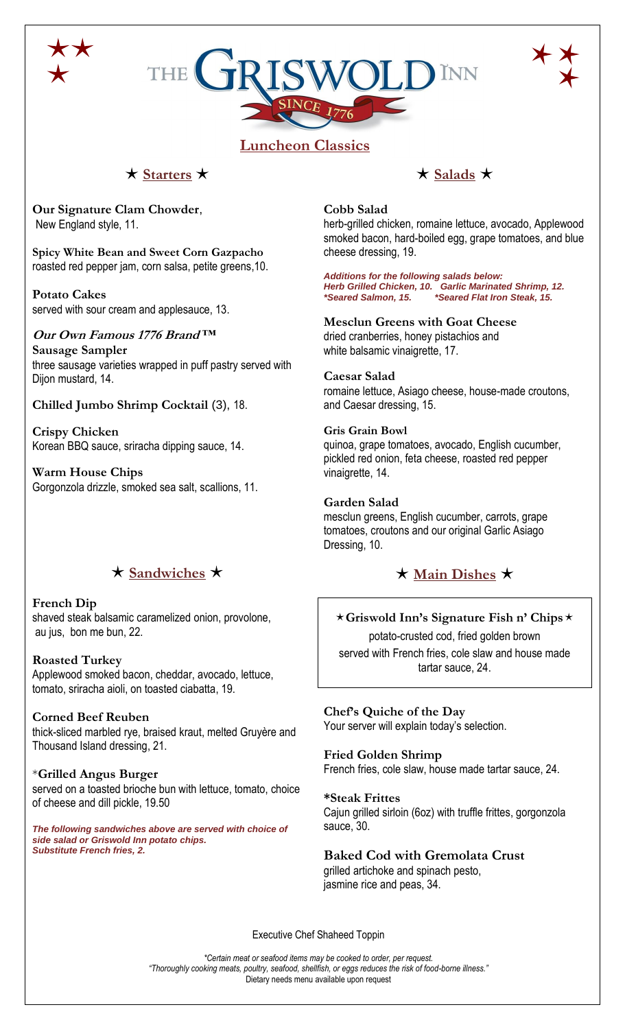





# **Luncheon Classics**

## $\star$  Starters  $\star$

**Our Signature Clam Chowder**, New England style, 11.

**Spicy White Bean and Sweet Corn Gazpacho** roasted red pepper jam, corn salsa, petite greens,10.

#### **Potato Cakes** served with sour cream and applesauce, 13.

**Our Own Famous 1776 Brand ™ Sausage Sampler** three sausage varieties wrapped in puff pastry served with Dijon mustard, 14.

## **Chilled Jumbo Shrimp Cocktail** (3), 18.

**Crispy Chicken** Korean BBQ sauce, sriracha dipping sauce, 14.

**Warm House Chips** Gorgonzola drizzle, smoked sea salt, scallions, 11.

# $\star$  Sandwiches  $\star$

#### **French Dip** shaved steak balsamic caramelized onion, provolone, au jus, bon me bun, 22.

**Roasted Turkey**  Applewood smoked bacon, cheddar, avocado, lettuce, tomato, sriracha aioli, on toasted ciabatta, 19.

**Corned Beef Reuben** thick-sliced marbled rye, braised kraut, melted Gruyère and Thousand Island dressing, 21.

\***Grilled Angus Burger**  served on a toasted brioche bun with lettuce, tomato, choice of cheese and dill pickle, 19.50

*The following sandwiches above are served with choice of side salad or Griswold Inn potato chips. Substitute French fries, 2.*

## $\star$  Salads  $\star$

## **Cobb Salad**

herb-grilled chicken, romaine lettuce, avocado, Applewood smoked bacon, hard-boiled egg, grape tomatoes, and blue cheese dressing, 19.

*Additions for the following salads below: Herb Grilled Chicken, 10. Garlic Marinated Shrimp, 12. \*Seared Salmon, 15. \*Seared Flat Iron Steak, 15.*

**Mesclun Greens with Goat Cheese** dried cranberries, honey pistachios and white balsamic vinaigrette, 17.

## **Caesar Salad**

romaine lettuce, Asiago cheese, house-made croutons, and Caesar dressing, 15.

## **Gris Grain Bowl**

quinoa, grape tomatoes, avocado, English cucumber, pickled red onion, feta cheese, roasted red pepper vinaigrette, 14.

## **Garden Salad**

mesclun greens, English cucumber, carrots, grape tomatoes, croutons and our original Garlic Asiago Dressing, 10.

# $\star$  Main Dishes  $\star$

**Griswold Inn's Signature Fish n' Chips** potato-crusted cod, fried golden brown served with French fries, cole slaw and house made tartar sauce, 24.

## **Chef's Quiche of the Day**

Your server will explain today's selection.

## **Fried Golden Shrimp**

French fries, cole slaw, house made tartar sauce, 24.

## **\*Steak Frittes**

Cajun grilled sirloin (6oz) with truffle frittes, gorgonzola sauce, 30.

## **Baked Cod with Gremolata Crust**

grilled artichoke and spinach pesto, jasmine rice and peas, 34.

Executive Chef Shaheed Toppin

*\*Certain meat or seafood items may be cooked to order, per request. "Thoroughly cooking meats, poultry, seafood, shellfish, or eggs reduces the risk of food-borne illness."* Dietary needs menu available upon request